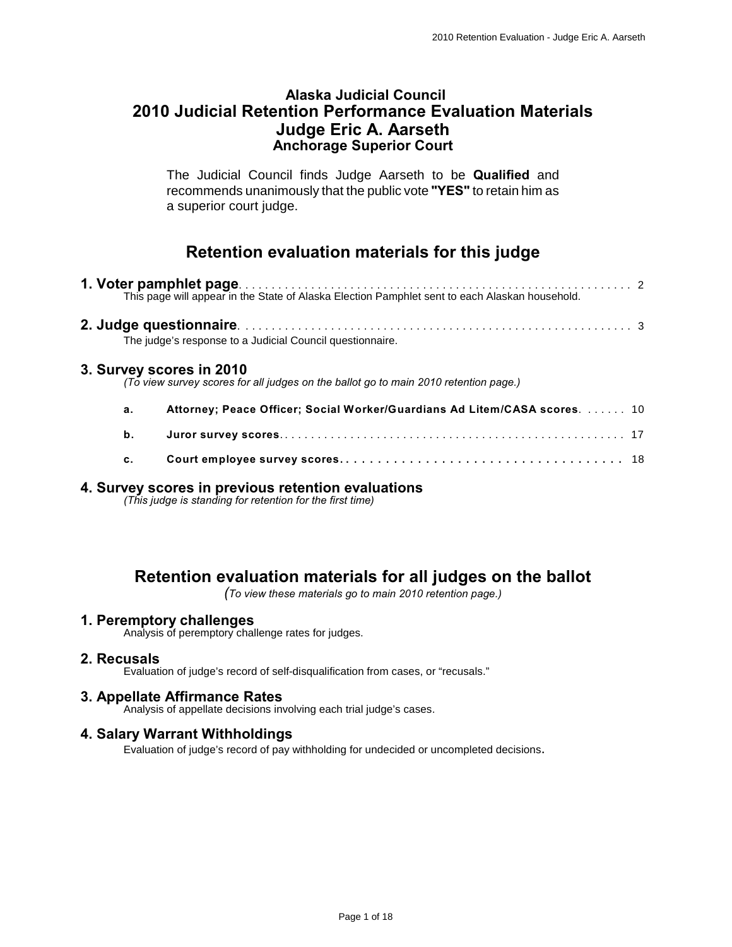#### **Alaska Judicial Council 2010 Judicial Retention Performance Evaluation Materials Judge Eric A. Aarseth Anchorage Superior Court**

The Judicial Council finds Judge Aarseth to be **Qualified** and recommends unanimously that the public vote **"YES"** to retain him as a superior court judge.

## **Retention evaluation materials for this judge**

|                          | The judge's response to a Judicial Council questionnaire.                            |
|--------------------------|--------------------------------------------------------------------------------------|
| 3. Survey scores in 2010 | (To view survey scores for all judges on the ballot go to main 2010 retention page.) |
| а.                       | Attorney; Peace Officer; Social Worker/Guardians Ad Litem/CASA scores.  10           |
| b.                       |                                                                                      |
| С.                       |                                                                                      |
|                          |                                                                                      |

#### **4. Survey scores in previous retention evaluations**

*(This judge is standing for retention for the first time)*

## **Retention evaluation materials for all judges on the ballot**

*(To view these materials go to main 2010 retention page.)*

#### **1. Peremptory challenges**

Analysis of peremptory challenge rates for judges.

#### **2. Recusals**

Evaluation of judge's record of self-disqualification from cases, or "recusals."

#### **3. Appellate Affirmance Rates**

Analysis of appellate decisions involving each trial judge's cases.

#### **4. Salary Warrant Withholdings**

Evaluation of judge's record of pay withholding for undecided or uncompleted decisions.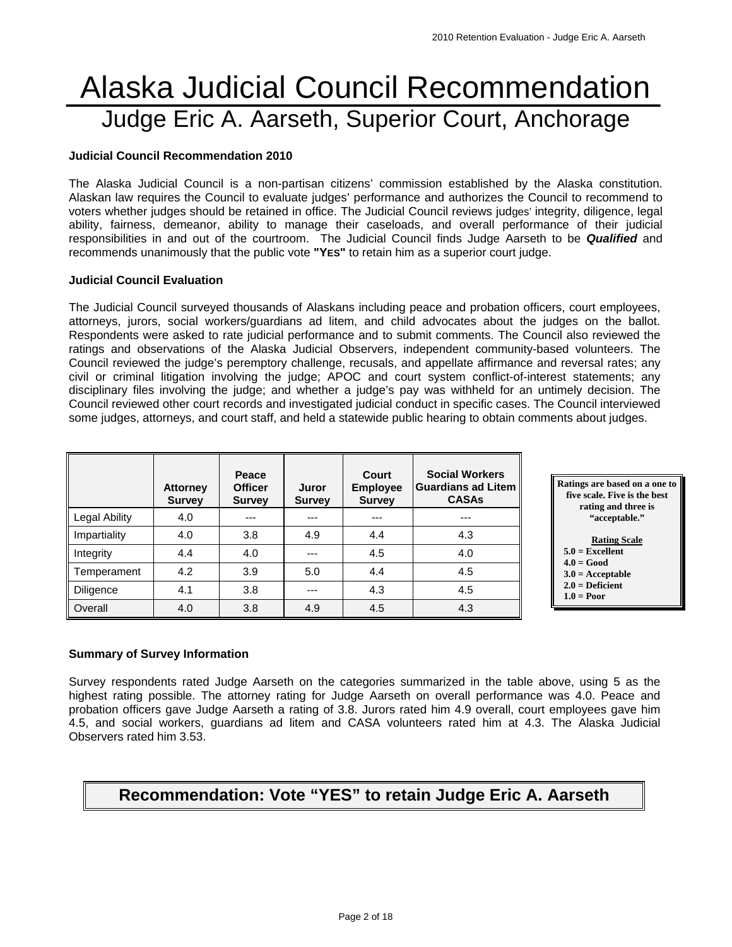# Alaska Judicial Council Recommendation Judge Eric A. Aarseth, Superior Court, Anchorage

#### **Judicial Council Recommendation 2010**

The Alaska Judicial Council is a non-partisan citizens' commission established by the Alaska constitution. Alaskan law requires the Council to evaluate judges' performance and authorizes the Council to recommend to voters whether judges should be retained in office. The Judicial Council reviews judges' integrity, diligence, legal ability, fairness, demeanor, ability to manage their caseloads, and overall performance of their judicial responsibilities in and out of the courtroom. The Judicial Council finds Judge Aarseth to be *Qualified* and recommends unanimously that the public vote **"YES"** to retain him as a superior court judge.

#### **Judicial Council Evaluation**

The Judicial Council surveyed thousands of Alaskans including peace and probation officers, court employees, attorneys, jurors, social workers/guardians ad litem, and child advocates about the judges on the ballot. Respondents were asked to rate judicial performance and to submit comments. The Council also reviewed the ratings and observations of the Alaska Judicial Observers, independent community-based volunteers. The Council reviewed the judge's peremptory challenge, recusals, and appellate affirmance and reversal rates; any civil or criminal litigation involving the judge; APOC and court system conflict-of-interest statements; any disciplinary files involving the judge; and whether a judge's pay was withheld for an untimely decision. The Council reviewed other court records and investigated judicial conduct in specific cases. The Council interviewed some judges, attorneys, and court staff, and held a statewide public hearing to obtain comments about judges.

|               | <b>Attorney</b><br><b>Survey</b> | Peace<br><b>Officer</b><br><b>Survey</b> | Juror<br><b>Survey</b> | Court<br><b>Employee</b><br><b>Survey</b> | <b>Social Workers</b><br><b>Guardians ad Litem</b><br><b>CASAs</b> |
|---------------|----------------------------------|------------------------------------------|------------------------|-------------------------------------------|--------------------------------------------------------------------|
| Legal Ability | 4.0                              | ---                                      |                        | ---                                       | ---                                                                |
| Impartiality  | 4.0                              | 3.8                                      | 4.9                    | 4.4                                       | 4.3                                                                |
| Integrity     | 4.4                              | 4.0                                      |                        | 4.5                                       | 4.0                                                                |
| Temperament   | 4.2                              | 3.9                                      | 5.0                    | 4.4                                       | 4.5                                                                |
| Diligence     | 4.1                              | 3.8                                      | ---                    | 4.3                                       | 4.5                                                                |
| Overall       | 4.0                              | 3.8                                      | 4.9                    | 4.5                                       | 4.3                                                                |



#### **Summary of Survey Information**

Survey respondents rated Judge Aarseth on the categories summarized in the table above, using 5 as the highest rating possible. The attorney rating for Judge Aarseth on overall performance was 4.0. Peace and probation officers gave Judge Aarseth a rating of 3.8. Jurors rated him 4.9 overall, court employees gave him 4.5, and social workers, guardians ad litem and CASA volunteers rated him at 4.3. The Alaska Judicial Observers rated him 3.53.

## **Recommendation: Vote "YES" to retain Judge Eric A. Aarseth**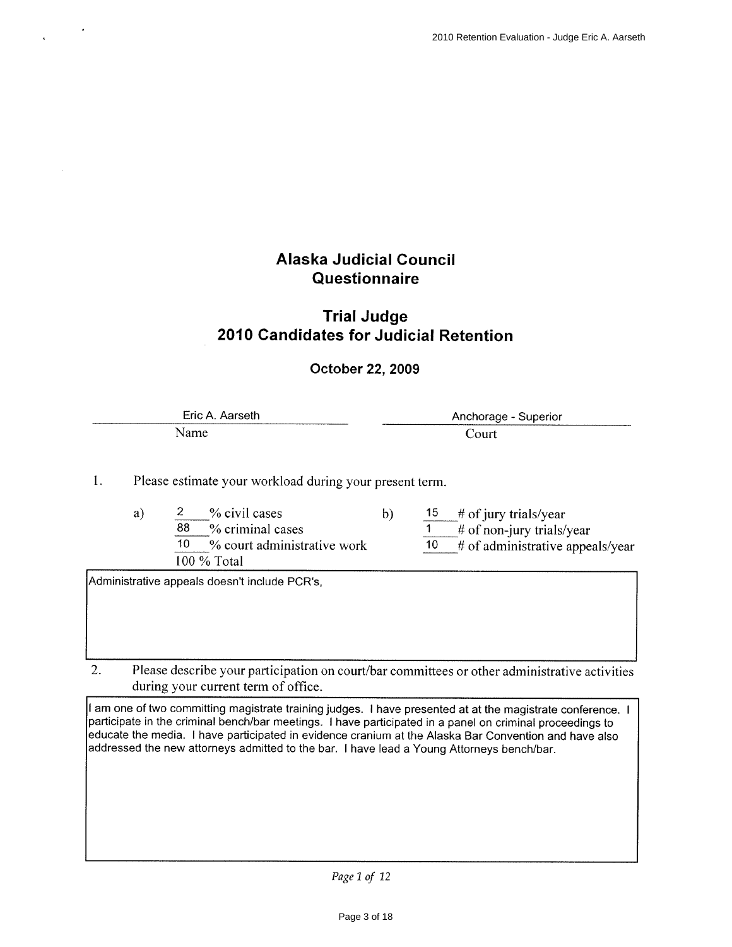## Alaska Judicial Council Questionnaire

## **Trial Judge 2010 Candidates for Judicial Retention**

## October 22, 2009

| Eric A. Aarseth<br>---- | Anchorage - Superior        |
|-------------------------|-----------------------------|
| Name                    | ---------<br>_____<br>Court |

 $\mathbf{1}$ . Please estimate your workload during your present term.

> $\overline{2}$ % civil cases  $b)$  $15<sub>1</sub>$ # of jury trials/year a)  $\overline{88}$ % criminal cases  $\overline{1}$ # of non-jury trials/year  $\overline{10}$ % court administrative work  $10<sup>°</sup>$ # of administrative appeals/year 100 % Total

Administrative appeals doesn't include PCR's,

 $2.$ Please describe your participation on court/bar committees or other administrative activities during your current term of office.

I am one of two committing magistrate training judges. I have presented at at the magistrate conference. I participate in the criminal bench/bar meetings. I have participated in a panel on criminal proceedings to educate the media. I have participated in evidence cranium at the Alaska Bar Convention and have also addressed the new attorneys admitted to the bar. I have lead a Young Attorneys bench/bar.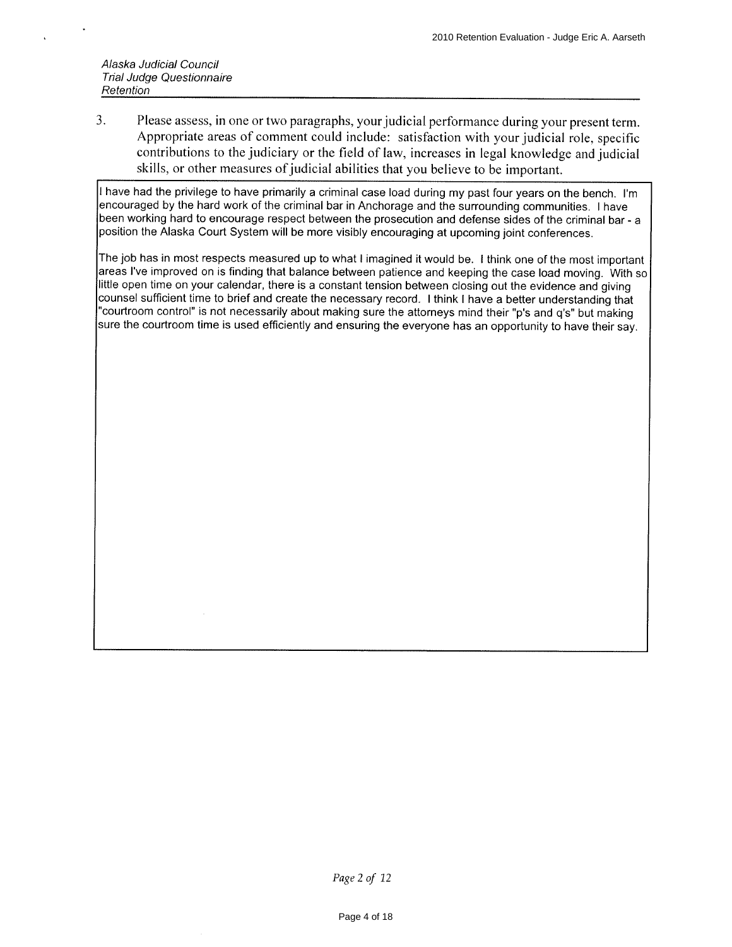$3<sub>1</sub>$ Please assess, in one or two paragraphs, your judicial performance during your present term. Appropriate areas of comment could include: satisfaction with your judicial role, specific contributions to the judiciary or the field of law, increases in legal knowledge and judicial skills, or other measures of judicial abilities that you believe to be important.

I have had the privilege to have primarily a criminal case load during my past four years on the bench. I'm encouraged by the hard work of the criminal bar in Anchorage and the surrounding communities. I have been working hard to encourage respect between the prosecution and defense sides of the criminal bar - a position the Alaska Court System will be more visibly encouraging at upcoming joint conferences.

The job has in most respects measured up to what I imagined it would be. I think one of the most important areas I've improved on is finding that balance between patience and keeping the case load moving. With so little open time on your calendar, there is a constant tension between closing out the evidence and giving counsel sufficient time to brief and create the necessary record. I think I have a better understanding that "courtroom control" is not necessarily about making sure the attorneys mind their "p's and q's" but making sure the courtroom time is used efficiently and ensuring the everyone has an opportunity to have their say.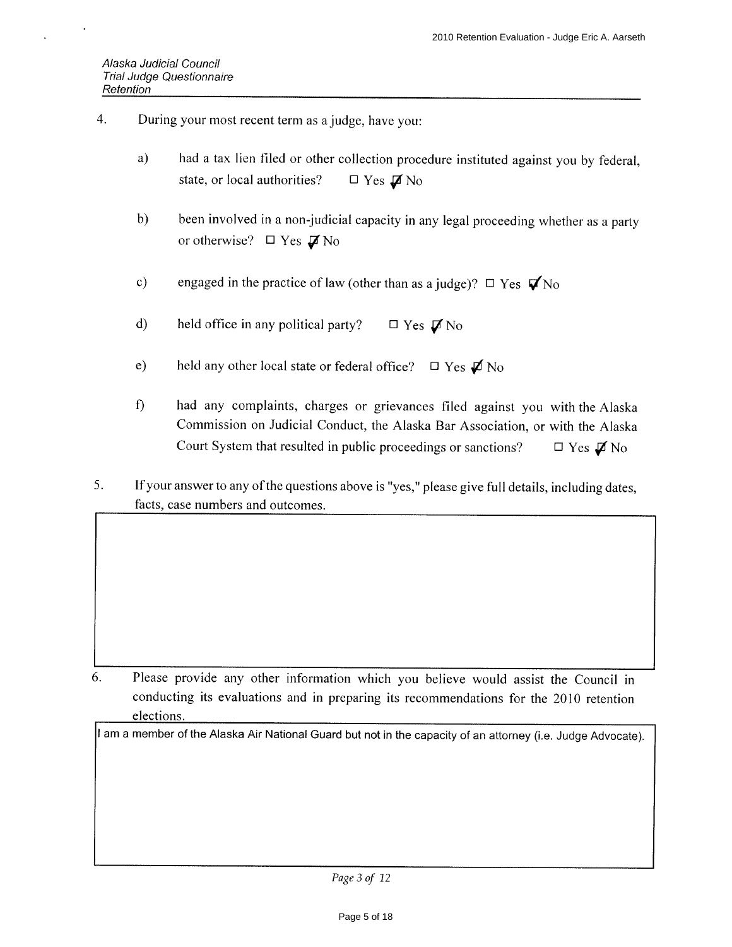- $\overline{4}$ . During your most recent term as a judge, have you:
	- a) had a tax lien filed or other collection procedure instituted against you by federal, state, or local authorities?  $\Box$  Yes  $\cancel{\Box}$  No
	- been involved in a non-judicial capacity in any legal proceeding whether as a party  $b)$ or otherwise?  $\square$  Yes  $\nabla$  No
	- $c)$ engaged in the practice of law (other than as a judge)?  $\Box$  Yes  $\blacktriangledown$  No
	- $\mathbf{d}$ held office in any political party?  $\Box$  Yes  $\cancel{\Box}$  No
	- held any other local state or federal office?  $\Box$  Yes  $\Box$  No  $e)$
	- had any complaints, charges or grievances filed against you with the Alaska  $\hat{D}$ Commission on Judicial Conduct, the Alaska Bar Association, or with the Alaska Court System that resulted in public proceedings or sanctions?  $\Box$  Yes  $\cancel{\Box}$  No
- 5. If your answer to any of the questions above is "yes," please give full details, including dates, facts, case numbers and outcomes.

6. Please provide any other information which you believe would assist the Council in conducting its evaluations and in preparing its recommendations for the 2010 retention elections.

I am a member of the Alaska Air National Guard but not in the capacity of an attorney (i.e. Judge Advocate).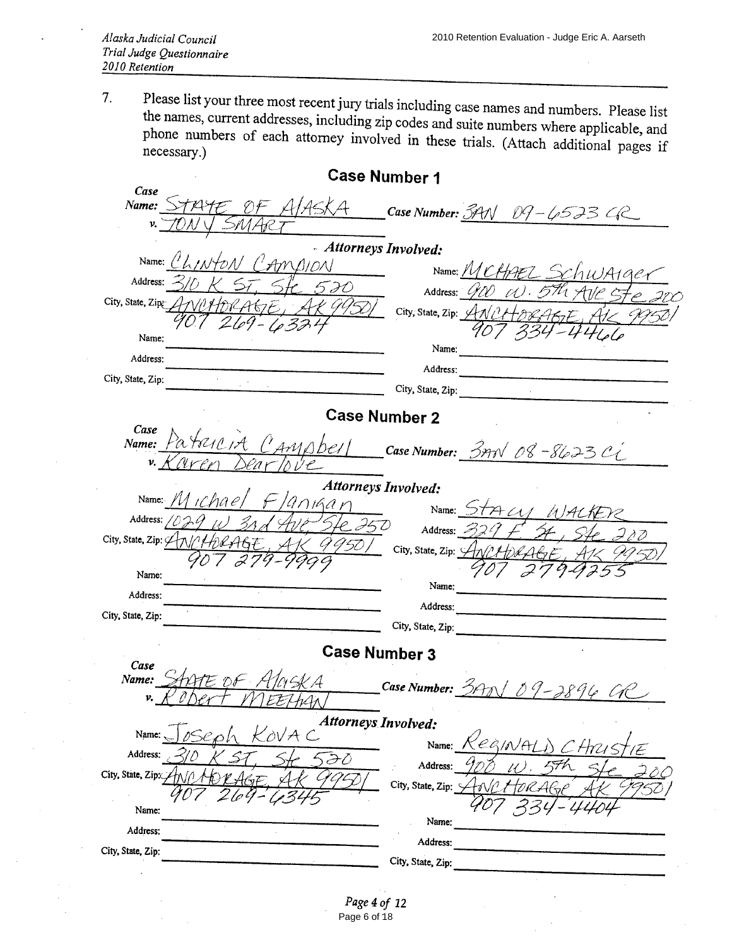Please list your three most recent jury trials including case names and numbers. Please list<br>the names, current addresses, including rin seed, i.e., i.e., i.e., i.e., i.e., i.e., i.e., i.e., i.e., i.e., i.e., i.e., i.e., i 7. the names, current addresses, including zip codes and suite numbers and numbers. Please list<br>phone numbers of each atternational involved. phone numbers of each attorney involved in these trials. (Attach additional pages if<br>necessary.) necessary.)

**Case Number 1** Case Name: Case Number: 3AN 09-4523 CR **Attorneys Involved:** Name: majoni Name:  $Mrf$ Address: Address:  $\mathscr{L}$ City, State, Zipe City, State, Zip:  $\mathcal{A}$ Name: Name: Address: Address: City, State, Zip: City, State, Zip: **Case Number 2** Case Name: )  $e$  /  $\sqrt{ }$ Case Number:  $\beta$ AN 08-8623 CL **Attorneys Involved:** Name Name: Address: Address: ォプ City, State, Zip:  $\varphi$ City, State, Zip: Name: Name: Address: Address: City, State, Zip: City, State, Zip: **Case Number 3** Case Name: Case Number:  $\frac{\beta \beta \gamma}{\gamma}$  $\Lambda$   $\mathcal{C}$ v. **Attorneys Involved:** NVA C Name: 'ei Name: Address: F -7) Address City, State, Zip: City, State, Zip: Name: Name: Address: Address: City, State, Zip: City, State, Zip: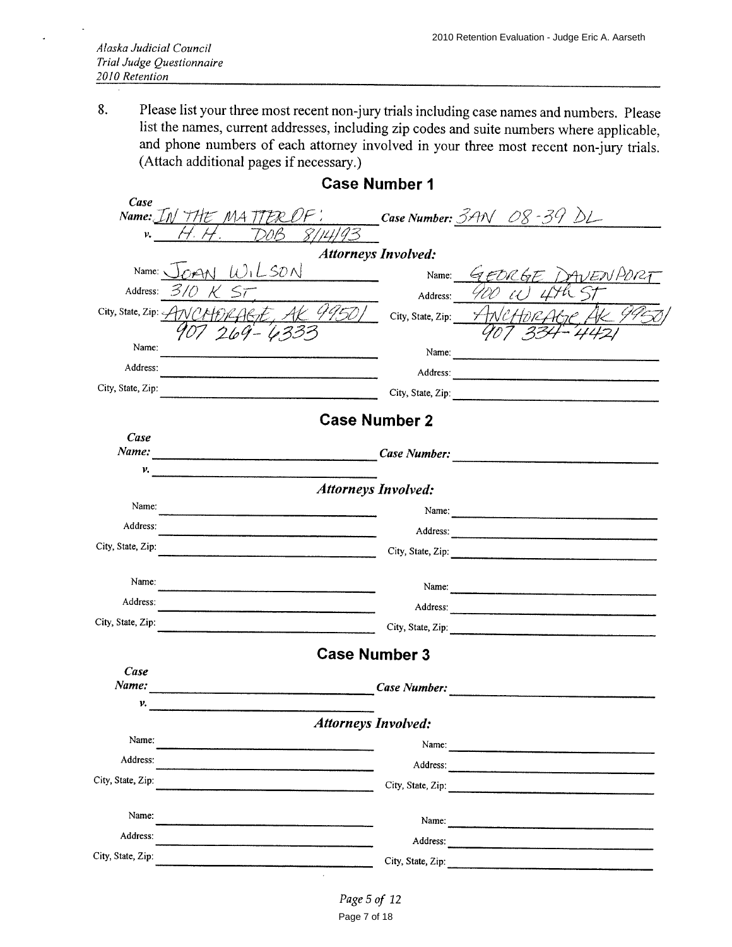L.

Please list your three most recent non-jury trials including case names and numbers. Please 8. list the names, current addresses, including zip codes and suite numbers where applicable, and phone numbers of each attorney involved in your three most recent non-jury trials. (Attach additional pages if necessary.)

| Case              |                                                                                          |                                 |                                                                                                                                                                                                                                                                                     |
|-------------------|------------------------------------------------------------------------------------------|---------------------------------|-------------------------------------------------------------------------------------------------------------------------------------------------------------------------------------------------------------------------------------------------------------------------------------|
|                   | Name: IN THE MATTERD                                                                     |                                 | $\begin{array}{r} \textcolor{blue}{\textbf{Case Number: }} \textcolor{blue}{\mathcal{S}\mathcal{A}\mathcal{N}} \quad \textcolor{blue}{\mathcal{OS}} \textcolor{red}{\mathcal{\cdot}} \textcolor{blue}{\mathcal{S}\mathcal{G}} \textcolor{blue}{\mathcal{D}\mathcal{L}} \end{array}$ |
| v.                | 1 <u>41</u> 93                                                                           |                                 |                                                                                                                                                                                                                                                                                     |
|                   | <b>Attorneys Involved:</b>                                                               |                                 |                                                                                                                                                                                                                                                                                     |
| Name:             | $W_1LSON$                                                                                | Name:                           | GEORGE<br>F <i>VENPORT</i>                                                                                                                                                                                                                                                          |
| Address:          | -37<br>57                                                                                | Address:                        |                                                                                                                                                                                                                                                                                     |
|                   | AK 4950,<br>City, State, Zip: ANCAPPLARE                                                 | City, State, Zip:               |                                                                                                                                                                                                                                                                                     |
|                   | $2104 - 63$                                                                              |                                 |                                                                                                                                                                                                                                                                                     |
| Name:             |                                                                                          |                                 | Name:                                                                                                                                                                                                                                                                               |
| Address:          |                                                                                          | Address:                        |                                                                                                                                                                                                                                                                                     |
| City, State, Zip: |                                                                                          |                                 |                                                                                                                                                                                                                                                                                     |
|                   | <b>Case Number 2</b>                                                                     |                                 |                                                                                                                                                                                                                                                                                     |
| Case              |                                                                                          |                                 |                                                                                                                                                                                                                                                                                     |
| Name:<br>v.       |                                                                                          | Case Number:                    |                                                                                                                                                                                                                                                                                     |
|                   | <u> 1980 - Jan Sterner, maritana amerikana amerikana a</u><br><b>Attorneys Involved:</b> |                                 |                                                                                                                                                                                                                                                                                     |
| Name:             |                                                                                          |                                 |                                                                                                                                                                                                                                                                                     |
| Address:          |                                                                                          |                                 |                                                                                                                                                                                                                                                                                     |
| City, State, Zip: |                                                                                          |                                 | Address:                                                                                                                                                                                                                                                                            |
|                   |                                                                                          |                                 | City, State, Zip:                                                                                                                                                                                                                                                                   |
| Name:             |                                                                                          |                                 | Name:                                                                                                                                                                                                                                                                               |
| Address:          |                                                                                          |                                 |                                                                                                                                                                                                                                                                                     |
| City, State, Zip: |                                                                                          |                                 | City, State, Zip:                                                                                                                                                                                                                                                                   |
|                   | <b>Case Number 3</b>                                                                     |                                 |                                                                                                                                                                                                                                                                                     |
| Case              |                                                                                          |                                 |                                                                                                                                                                                                                                                                                     |
| Name:             |                                                                                          | Case Number:                    |                                                                                                                                                                                                                                                                                     |
| v.                |                                                                                          |                                 |                                                                                                                                                                                                                                                                                     |
| Name:             | <b>Attorneys Involved:</b>                                                               |                                 |                                                                                                                                                                                                                                                                                     |
| Address:          |                                                                                          | Name:                           |                                                                                                                                                                                                                                                                                     |
| City, State, Zip: |                                                                                          | Address:                        |                                                                                                                                                                                                                                                                                     |
|                   |                                                                                          | City, State, Zip: $\frac{1}{2}$ |                                                                                                                                                                                                                                                                                     |
| Name:             |                                                                                          | Name:                           |                                                                                                                                                                                                                                                                                     |
| Address:          |                                                                                          |                                 | Address:                                                                                                                                                                                                                                                                            |
| City, State, Zip: |                                                                                          | City, State, Zip:               |                                                                                                                                                                                                                                                                                     |

## **Case Number 1**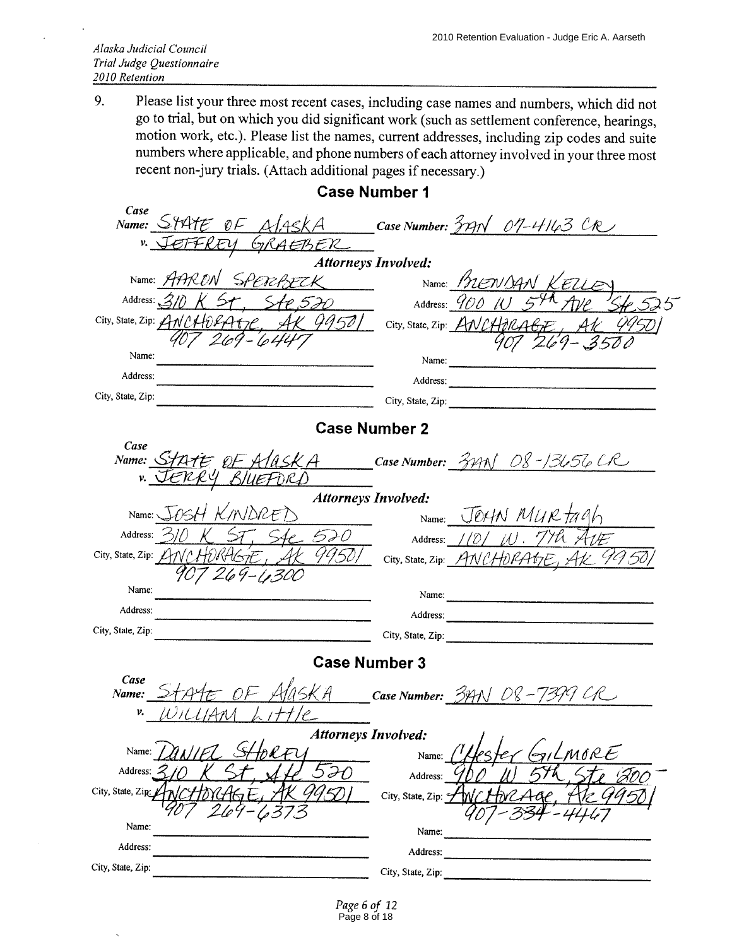9. Please list your three most recent cases, including case names and numbers, which did not go to trial, but on which you did significant work (such as settlement conference, hearings, motion work, etc.). Please list the names, current addresses, including zip codes and suite numbers where applicable, and phone numbers of each attorney involved in your three most recent non-jury trials. (Attach additional pages if necessary.)

|                   | <b>Case Number 1</b>                          |                            |                                                                        |  |  |  |  |
|-------------------|-----------------------------------------------|----------------------------|------------------------------------------------------------------------|--|--|--|--|
| Case              |                                               |                            |                                                                        |  |  |  |  |
|                   | Name: STATE OF ALASKA                         |                            | Case Number: $\frac{\gamma_{\text{P}}}{\gamma_{\text{A}}}$ O'l-4143 CR |  |  |  |  |
| $v_{\rm t}$       | <u>GRAEBER</u>                                |                            |                                                                        |  |  |  |  |
|                   |                                               | <b>Attorneys Involved:</b> |                                                                        |  |  |  |  |
|                   | Name: AARON<br>SPERBECK                       |                            | Name: MENDAN KELLE                                                     |  |  |  |  |
| Address: $3/0$    | 4.5H<br>ىر                                    |                            | Address: $900$                                                         |  |  |  |  |
|                   | City, State, Zip: ANCHOSATIE<br>9950 <u>1</u> |                            | City, State, Zip: ANCHORAGE                                            |  |  |  |  |
|                   |                                               |                            |                                                                        |  |  |  |  |
| Name:             |                                               | Name:                      |                                                                        |  |  |  |  |
| Address:          |                                               | Address:                   |                                                                        |  |  |  |  |
| City, State, Zip: |                                               | City, State, Zip:          |                                                                        |  |  |  |  |
|                   |                                               |                            |                                                                        |  |  |  |  |
|                   |                                               | <b>Case Number 2</b>       |                                                                        |  |  |  |  |
| Case              | Name: STATE OF ALASKA                         |                            |                                                                        |  |  |  |  |
|                   |                                               |                            |                                                                        |  |  |  |  |
|                   | v. JERKY<br><u>UEFDRD</u>                     |                            |                                                                        |  |  |  |  |
|                   | Name: $JOSH$<br>KINDRET                       | <b>Attorneys Involved:</b> | Name: JOHN MURTACH                                                     |  |  |  |  |
| Address:          |                                               |                            |                                                                        |  |  |  |  |
|                   | Ste 520                                       | Address:                   |                                                                        |  |  |  |  |
|                   | 4450,<br>City, State, Zip: LINCHUS            |                            | City, State, Zip: $ANCHDRAE$ , $AK 4950$                               |  |  |  |  |
| Name:             | '69-1,30C                                     |                            |                                                                        |  |  |  |  |
|                   |                                               | Name:                      |                                                                        |  |  |  |  |
| Address:          |                                               | Address:                   |                                                                        |  |  |  |  |
| City, State, Zip: |                                               |                            | City, State, Zip:                                                      |  |  |  |  |
|                   |                                               | <b>Case Number 3</b>       |                                                                        |  |  |  |  |
| Case              |                                               |                            |                                                                        |  |  |  |  |
| Name:             | 'SK A                                         |                            | Case Number: $\beta$ PtN D8-7314 CR                                    |  |  |  |  |
| ν.                | WILLIAN                                       |                            |                                                                        |  |  |  |  |
|                   | <b>Attorneys Involved:</b>                    |                            |                                                                        |  |  |  |  |
| Name:             |                                               | Name:                      |                                                                        |  |  |  |  |
| Address:          |                                               | Address:                   |                                                                        |  |  |  |  |
| City, State, Zip: |                                               | City, State, Zip:          |                                                                        |  |  |  |  |
| Name:             |                                               |                            |                                                                        |  |  |  |  |
| Address:          |                                               | Name:                      |                                                                        |  |  |  |  |
| City, State, Zip. |                                               | Address:                   |                                                                        |  |  |  |  |
|                   |                                               | City, State, Zip:          |                                                                        |  |  |  |  |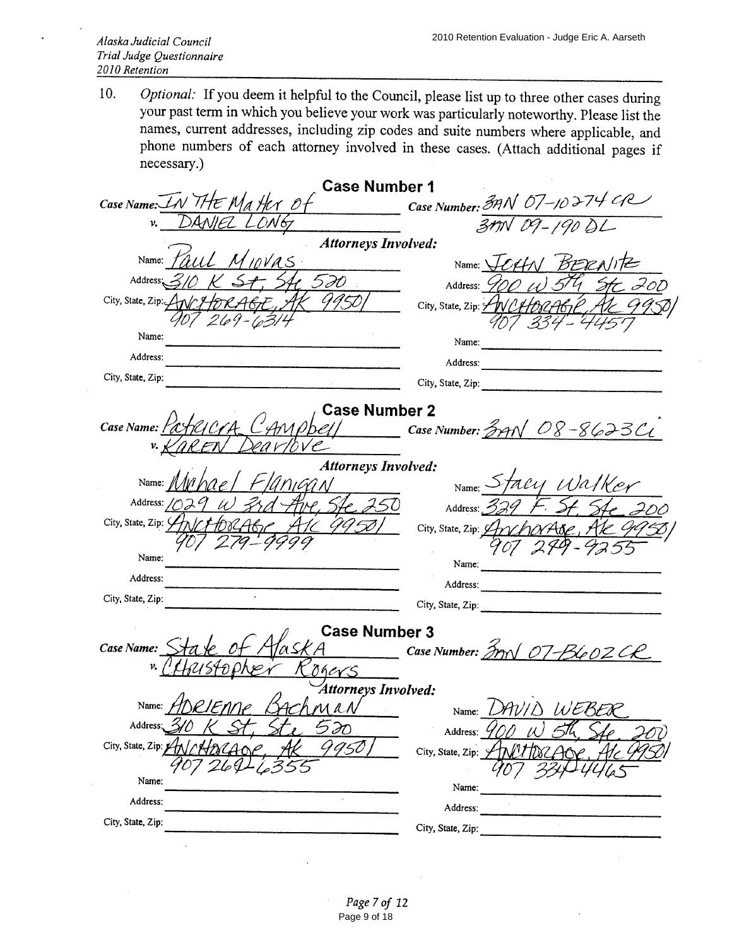Optional: If you deem it helpful to the Council, please list up to three other cases during 10. your past term in which you believe your work was particularly noteworthy. Please list the names, current addresses, including zip codes and suite numbers where applicable, and phone numbers of each attorney involved in these cases. (Attach additional pages if necessary.)

| <b>Case Number 1</b>                          |                                                                                                                               |  |
|-----------------------------------------------|-------------------------------------------------------------------------------------------------------------------------------|--|
| Case Name: IN THE Matter Of                   | Case Number: 3AN 07-10274 CR                                                                                                  |  |
|                                               | 3MN 09-190 DL                                                                                                                 |  |
| <b>Attorneys Involved:</b>                    |                                                                                                                               |  |
| ovas :<br>Name:                               | 15PIPAL<br>Name: $HCHM$                                                                                                       |  |
| Address.<br>5 H                               | Stc. 200<br>Address:                                                                                                          |  |
| City, State, Zip:                             | City, State, Zip: 7<br>РАвн                                                                                                   |  |
|                                               |                                                                                                                               |  |
| Name:                                         | Name:                                                                                                                         |  |
| Address:                                      | Address:                                                                                                                      |  |
| City, State, Zip:                             | City, State, Zip:                                                                                                             |  |
| <b>Case Number 2</b>                          |                                                                                                                               |  |
| RICTA<br>Case Name: $H\mathcal{L}$<br>AMDhell | Case Number: $\frac{1}{2}$ $\gamma$ $\gamma$ $\sqrt{28-8}$ $\approx$ $3$ $C_1$                                                |  |
| $\nu_{\rm e}$                                 |                                                                                                                               |  |
| <b>Attorneys Involved:</b>                    |                                                                                                                               |  |
| Name: $/$                                     | taey WalKer<br>Name: $\mathcal{S}$                                                                                            |  |
| Address: $\frac{1}{3}$                        | Address: $\tilde{z}$                                                                                                          |  |
| City, State, Zip: 9                           | City, State, Zip: 4                                                                                                           |  |
|                                               |                                                                                                                               |  |
| Name:                                         | Name:                                                                                                                         |  |
| Address:                                      | Address:<br><u> Linda a Carl Company a Carl Company a Carl Company a Carl Company a Carl Company and the Carl Company and</u> |  |
| City, State, Zip:                             | City, State, Zip:                                                                                                             |  |
| <b>Case Number 3</b>                          |                                                                                                                               |  |
| Case Name: $\searrow$                         | $\sim$ Case Number: $\cancel{\partial}$ m $\sqrt{07}$ -BLe OZCR                                                               |  |
| 84ers                                         |                                                                                                                               |  |
| <b>Attorneys Involved:</b>                    |                                                                                                                               |  |
| Name:<br>h M. A. N                            | DAVID WEBER<br>Name:                                                                                                          |  |
| Address:<br>5 20                              | Address:                                                                                                                      |  |
| City, State, Zip:                             | City, State, Zip:                                                                                                             |  |
|                                               |                                                                                                                               |  |
| Name:                                         | Name:                                                                                                                         |  |
| Address:                                      | Address:                                                                                                                      |  |
| City, State, Zip:                             | City, State, Zip:                                                                                                             |  |
|                                               |                                                                                                                               |  |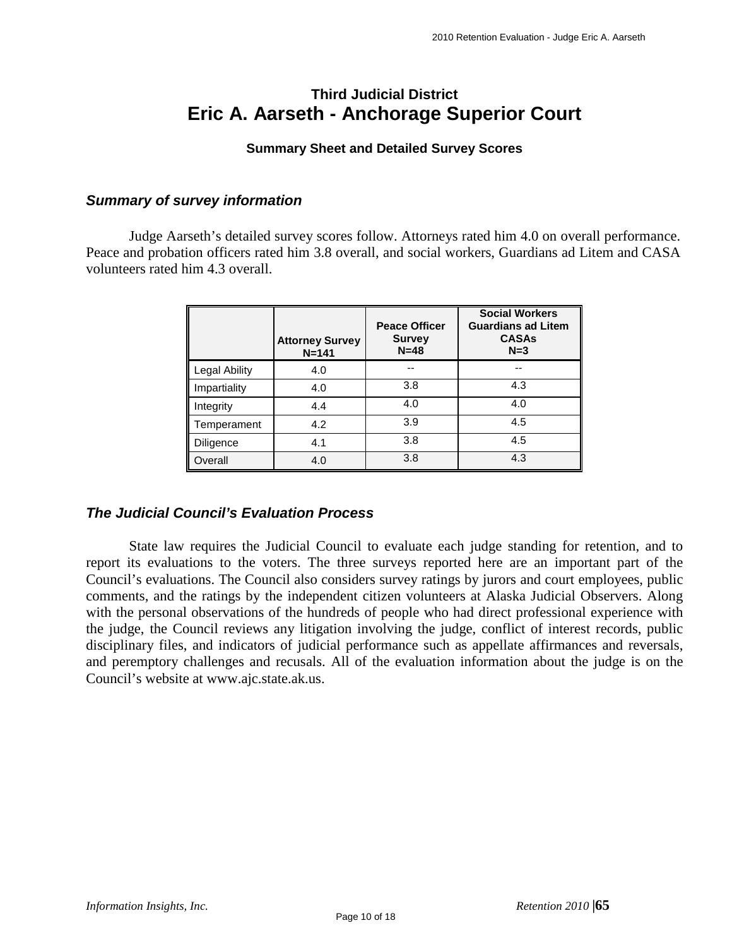## **Third Judicial District Eric A. Aarseth - Anchorage Superior Court**

#### **Summary Sheet and Detailed Survey Scores**

#### *Summary of survey information*

Judge Aarseth's detailed survey scores follow. Attorneys rated him 4.0 on overall performance. Peace and probation officers rated him 3.8 overall, and social workers, Guardians ad Litem and CASA volunteers rated him 4.3 overall.

|                      | <b>Attorney Survey</b><br>$N = 141$ | <b>Peace Officer</b><br><b>Survey</b><br>$N=48$ | <b>Social Workers</b><br><b>Guardians ad Litem</b><br><b>CASAs</b><br>$N=3$ |
|----------------------|-------------------------------------|-------------------------------------------------|-----------------------------------------------------------------------------|
| <b>Legal Ability</b> | 4.0                                 | --                                              |                                                                             |
| Impartiality         | 4.0                                 | 3.8                                             | 4.3                                                                         |
| Integrity            | 4.4                                 | 4.0                                             | 4.0                                                                         |
| Temperament          | 4.2                                 | 3.9                                             | 4.5                                                                         |
| Diligence            | 4.1                                 | 3.8                                             | 4.5                                                                         |
| Overall              | 4.0                                 | 3.8                                             | 4.3                                                                         |

#### *The Judicial Council's Evaluation Process*

State law requires the Judicial Council to evaluate each judge standing for retention, and to report its evaluations to the voters. The three surveys reported here are an important part of the Council's evaluations. The Council also considers survey ratings by jurors and court employees, public comments, and the ratings by the independent citizen volunteers at Alaska Judicial Observers. Along with the personal observations of the hundreds of people who had direct professional experience with the judge, the Council reviews any litigation involving the judge, conflict of interest records, public disciplinary files, and indicators of judicial performance such as appellate affirmances and reversals, and peremptory challenges and recusals. All of the evaluation information about the judge is on the Council's website at www.ajc.state.ak.us.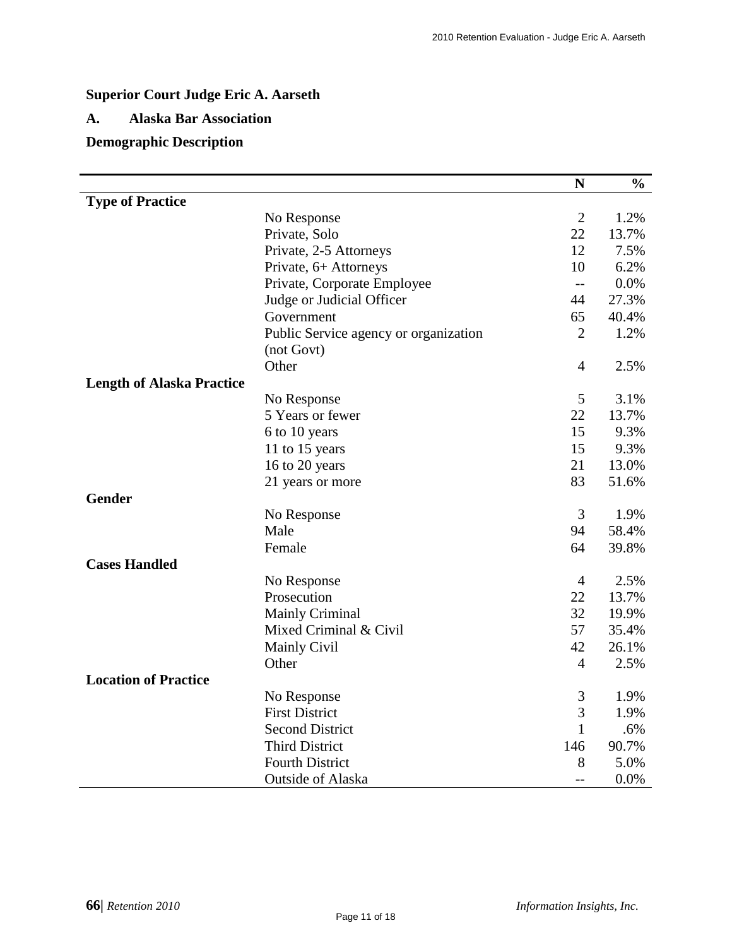## **Superior Court Judge Eric A. Aarseth**

#### **A. Alaska Bar Association**

## **Demographic Description**

|                                  |                                       | N                        | $\frac{0}{0}$ |
|----------------------------------|---------------------------------------|--------------------------|---------------|
| <b>Type of Practice</b>          |                                       |                          |               |
|                                  | No Response                           | $\overline{2}$           | 1.2%          |
|                                  | Private, Solo                         | 22                       | 13.7%         |
|                                  | Private, 2-5 Attorneys                | 12                       | 7.5%          |
|                                  | Private, 6+ Attorneys                 | 10                       | 6.2%          |
|                                  | Private, Corporate Employee           | $\overline{\phantom{m}}$ | 0.0%          |
|                                  | Judge or Judicial Officer             | 44                       | 27.3%         |
|                                  | Government                            | 65                       | 40.4%         |
|                                  | Public Service agency or organization | $\overline{2}$           | 1.2%          |
|                                  | (not Govt)                            |                          |               |
|                                  | Other                                 | 4                        | 2.5%          |
| <b>Length of Alaska Practice</b> |                                       |                          |               |
|                                  | No Response                           | 5                        | 3.1%          |
|                                  | 5 Years or fewer                      | 22                       | 13.7%         |
|                                  | 6 to 10 years                         | 15                       | 9.3%          |
|                                  | 11 to 15 years                        | 15                       | 9.3%          |
|                                  | 16 to 20 years                        | 21                       | 13.0%         |
|                                  | 21 years or more                      | 83                       | 51.6%         |
| Gender                           |                                       |                          |               |
|                                  | No Response                           | 3                        | 1.9%          |
|                                  | Male                                  | 94                       | 58.4%         |
|                                  | Female                                | 64                       | 39.8%         |
| <b>Cases Handled</b>             |                                       |                          |               |
|                                  | No Response                           | $\overline{4}$           | 2.5%          |
|                                  | Prosecution                           | 22                       | 13.7%         |
|                                  | <b>Mainly Criminal</b>                | 32                       | 19.9%         |
|                                  | Mixed Criminal & Civil                | 57                       | 35.4%         |
|                                  | <b>Mainly Civil</b>                   | 42                       | 26.1%         |
|                                  | Other                                 | $\overline{4}$           | 2.5%          |
| <b>Location of Practice</b>      |                                       |                          |               |
|                                  | No Response                           | 3                        | 1.9%          |
|                                  | <b>First District</b>                 | 3                        | 1.9%          |
|                                  | <b>Second District</b>                | $\mathbf{1}$             | .6%           |
|                                  | <b>Third District</b>                 | 146                      | 90.7%         |
|                                  | <b>Fourth District</b>                | 8                        | 5.0%          |
|                                  | Outside of Alaska                     | $-$                      | 0.0%          |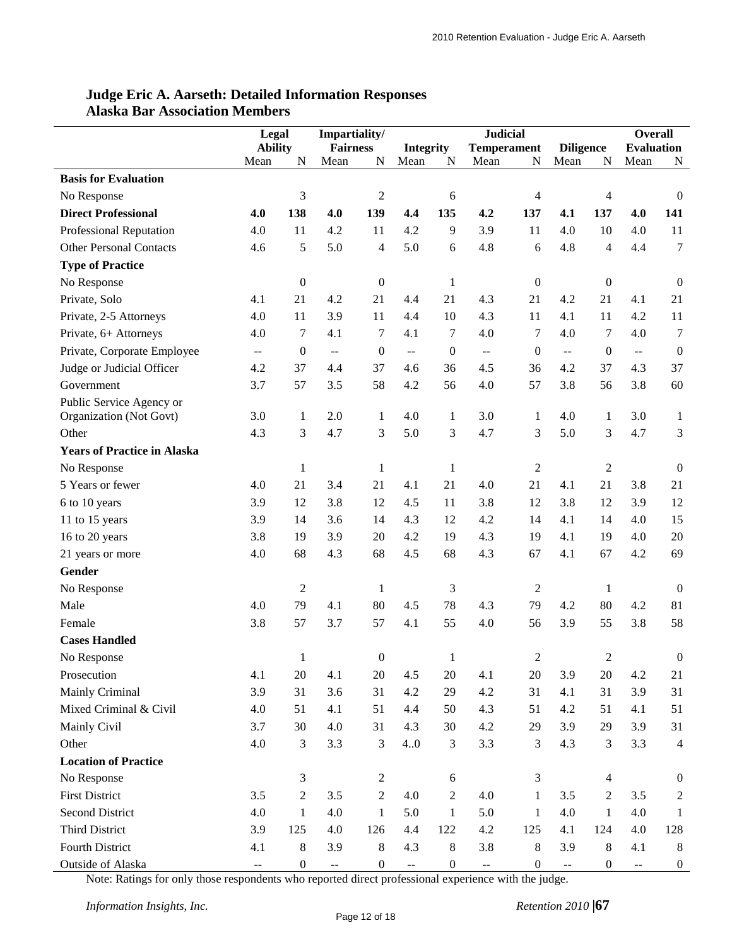|                                    | Legal                                         |                  | Impartiality/                                 |                  |                                               |                  | <b>Judicial</b>                               |                  |                                               |                  | <b>Overall</b>           |                  |
|------------------------------------|-----------------------------------------------|------------------|-----------------------------------------------|------------------|-----------------------------------------------|------------------|-----------------------------------------------|------------------|-----------------------------------------------|------------------|--------------------------|------------------|
|                                    | <b>Ability</b>                                |                  | <b>Fairness</b>                               |                  | <b>Integrity</b>                              |                  | <b>Temperament</b>                            |                  | <b>Diligence</b>                              |                  | <b>Evaluation</b>        |                  |
|                                    | Mean                                          | N                | Mean                                          | N                | Mean                                          | N                | Mean                                          | N                | Mean                                          | ${\bf N}$        | Mean                     | N                |
| <b>Basis for Evaluation</b>        |                                               |                  |                                               |                  |                                               |                  |                                               |                  |                                               |                  |                          |                  |
| No Response                        |                                               | $\mathfrak{Z}$   |                                               | $\overline{2}$   |                                               | 6                |                                               | 4                |                                               | $\overline{4}$   |                          | $\boldsymbol{0}$ |
| <b>Direct Professional</b>         | 4.0                                           | 138              | 4.0                                           | 139              | 4,4                                           | 135              | 4.2                                           | 137              | 4.1                                           | 137              | 4.0                      | 141              |
| Professional Reputation            | 4.0                                           | 11               | 4.2                                           | 11               | 4.2                                           | 9                | 3.9                                           | 11               | 4.0                                           | 10               | 4.0                      | 11               |
| <b>Other Personal Contacts</b>     | 4.6                                           | 5                | 5.0                                           | 4                | 5.0                                           | 6                | 4.8                                           | 6                | 4.8                                           | 4                | 4.4                      | 7                |
| <b>Type of Practice</b>            |                                               |                  |                                               |                  |                                               |                  |                                               |                  |                                               |                  |                          |                  |
| No Response                        |                                               | $\boldsymbol{0}$ |                                               | $\boldsymbol{0}$ |                                               | $\mathbf{1}$     |                                               | $\boldsymbol{0}$ |                                               | $\boldsymbol{0}$ |                          | $\boldsymbol{0}$ |
| Private, Solo                      | 4.1                                           | 21               | 4.2                                           | 21               | 4.4                                           | 21               | 4.3                                           | 21               | 4.2                                           | 21               | 4.1                      | 21               |
| Private, 2-5 Attorneys             | 4.0                                           | 11               | 3.9                                           | 11               | 4.4                                           | 10               | 4.3                                           | 11               | 4.1                                           | 11               | 4.2                      | 11               |
| Private, 6+ Attorneys              | 4.0                                           | 7                | 4.1                                           | 7                | 4.1                                           | 7                | 4.0                                           | 7                | 4.0                                           | 7                | 4.0                      | 7                |
| Private, Corporate Employee        | $\mathord{\hspace{1pt}\text{--}\hspace{1pt}}$ | $\boldsymbol{0}$ | $\mathord{\hspace{1pt}\text{--}\hspace{1pt}}$ | $\boldsymbol{0}$ | $\mathord{\hspace{1pt}\text{--}\hspace{1pt}}$ | $\boldsymbol{0}$ | $\mathord{\hspace{1pt}\text{--}\hspace{1pt}}$ | $\boldsymbol{0}$ | $\mathord{\hspace{1pt}\text{--}\hspace{1pt}}$ | $\boldsymbol{0}$ | $\overline{\phantom{m}}$ | $\boldsymbol{0}$ |
| Judge or Judicial Officer          | 4.2                                           | 37               | 4.4                                           | 37               | 4.6                                           | 36               | 4.5                                           | 36               | 4.2                                           | 37               | 4.3                      | 37               |
| Government                         | 3.7                                           | 57               | 3.5                                           | 58               | 4.2                                           | 56               | 4.0                                           | 57               | 3.8                                           | 56               | 3.8                      | 60               |
| Public Service Agency or           |                                               |                  |                                               |                  |                                               |                  |                                               |                  |                                               |                  |                          |                  |
| Organization (Not Govt)            | 3.0                                           | 1                | 2.0                                           | $\mathbf{1}$     | 4.0                                           | 1                | 3.0                                           | 1                | 4.0                                           | $\mathbf{1}$     | 3.0                      | $\mathbf{1}$     |
| Other                              | 4.3                                           | 3                | 4.7                                           | 3                | 5.0                                           | 3                | 4.7                                           | 3                | 5.0                                           | 3                | 4.7                      | 3                |
| <b>Years of Practice in Alaska</b> |                                               |                  |                                               |                  |                                               |                  |                                               |                  |                                               |                  |                          |                  |
| No Response                        |                                               | $\mathbf{1}$     |                                               | $\mathbf{1}$     |                                               | $\mathbf{1}$     |                                               | $\overline{c}$   |                                               | $\overline{2}$   |                          | $\boldsymbol{0}$ |
| 5 Years or fewer                   | 4.0                                           | 21               | 3.4                                           | 21               | 4.1                                           | 21               | 4.0                                           | 21               | 4.1                                           | 21               | 3.8                      | 21               |
| 6 to 10 years                      | 3.9                                           | 12               | 3.8                                           | 12               | 4.5                                           | 11               | 3.8                                           | 12               | 3.8                                           | 12               | 3.9                      | 12               |
| 11 to 15 years                     | 3.9                                           | 14               | 3.6                                           | 14               | 4.3                                           | 12               | 4.2                                           | 14               | 4.1                                           | 14               | 4.0                      | 15               |
| 16 to 20 years                     | 3.8                                           | 19               | 3.9                                           | $20\,$           | 4.2                                           | 19               | 4.3                                           | 19               | 4.1                                           | 19               | 4.0                      | $20\,$           |
| 21 years or more                   | 4.0                                           | 68               | 4.3                                           | 68               | 4.5                                           | 68               | 4.3                                           | 67               | 4.1                                           | 67               | 4.2                      | 69               |
| Gender                             |                                               |                  |                                               |                  |                                               |                  |                                               |                  |                                               |                  |                          |                  |
| No Response                        |                                               | $\overline{c}$   |                                               | 1                |                                               | 3                |                                               | 2                |                                               | $\mathbf{1}$     |                          | $\boldsymbol{0}$ |
| Male                               | 4.0                                           | 79               | 4.1                                           | 80               | 4.5                                           | 78               | 4.3                                           | 79               | 4.2                                           | 80               | 4.2                      | 81               |
| Female                             | 3.8                                           | 57               | 3.7                                           | 57               | 4.1                                           | 55               | 4.0                                           | 56               | 3.9                                           | 55               | 3.8                      | 58               |
| <b>Cases Handled</b>               |                                               |                  |                                               |                  |                                               |                  |                                               |                  |                                               |                  |                          |                  |
| No Response                        |                                               | 1                |                                               | $\boldsymbol{0}$ |                                               | 1                |                                               | $\overline{c}$   |                                               | $\boldsymbol{2}$ |                          | $\boldsymbol{0}$ |
| Prosecution                        | 4.1                                           | 20               | 4.1                                           | 20               | 4.5                                           | 20               | 4.1                                           | $20\,$           | 3.9                                           | 20               | 4.2                      | 21               |
| Mainly Criminal                    | 3.9                                           | 31               | 3.6                                           | 31               | 4.2                                           | 29               | 4.2                                           | 31               | 4.1                                           | 31               | 3.9                      | 31               |
| Mixed Criminal & Civil             | 4.0                                           | 51               | 4.1                                           | 51               | 4.4                                           | 50               | 4.3                                           | 51               | 4.2                                           | 51               | 4.1                      | 51               |
| Mainly Civil                       | 3.7                                           | 30               | 4.0                                           | 31               | 4.3                                           | 30               | 4.2                                           | 29               | 3.9                                           | 29               | 3.9                      | 31               |
| Other                              | 4.0                                           | 3                | 3.3                                           | 3                | 4.0                                           | 3                | 3.3                                           | 3                | 4.3                                           | $\mathfrak{Z}$   | 3.3                      | $\overline{4}$   |
| <b>Location of Practice</b>        |                                               |                  |                                               |                  |                                               |                  |                                               |                  |                                               |                  |                          |                  |
| No Response                        |                                               | $\mathfrak{Z}$   |                                               | $\overline{2}$   |                                               | $6\,$            |                                               | 3                |                                               | $\overline{4}$   |                          | $\boldsymbol{0}$ |
| <b>First District</b>              | 3.5                                           | $\overline{c}$   | 3.5                                           | $\overline{2}$   | 4.0                                           | $\overline{2}$   | 4.0                                           | $\mathbf{1}$     | 3.5                                           | $\overline{2}$   | 3.5                      | $\overline{2}$   |
| <b>Second District</b>             | 4.0                                           | $\mathbf{1}$     | 4.0                                           | $\mathbf{1}$     | 5.0                                           | $\mathbf{1}$     | 5.0                                           | $\mathbf{1}$     | 4.0                                           | $\mathbf{1}$     | 4.0                      | $\mathbf{1}$     |
| <b>Third District</b>              | 3.9                                           | 125              | 4.0                                           | 126              | 4.4                                           | 122              | 4.2                                           | 125              | 4.1                                           | 124              | 4.0                      | 128              |
| Fourth District                    | 4.1                                           | $\,8\,$          | 3.9                                           | $8\,$            | 4.3                                           | $8\,$            | 3.8                                           | 8                | 3.9                                           | 8                | 4.1                      | $\,8\,$          |
| Outside of Alaska                  | $\overline{\phantom{a}}$                      | $\boldsymbol{0}$ | $\mathord{\hspace{1pt}\text{--}\hspace{1pt}}$ | $\boldsymbol{0}$ | $- \, -$                                      | $\boldsymbol{0}$ | $\mathrel{{-}-}$                              | $\boldsymbol{0}$ | $\mathcal{L} =$                               | $\mathbf{0}$     | $\sim$ $-$               | $\boldsymbol{0}$ |

#### **Judge Eric A. Aarseth: Detailed Information Responses Alaska Bar Association Members**

Note: Ratings for only those respondents who reported direct professional experience with the judge.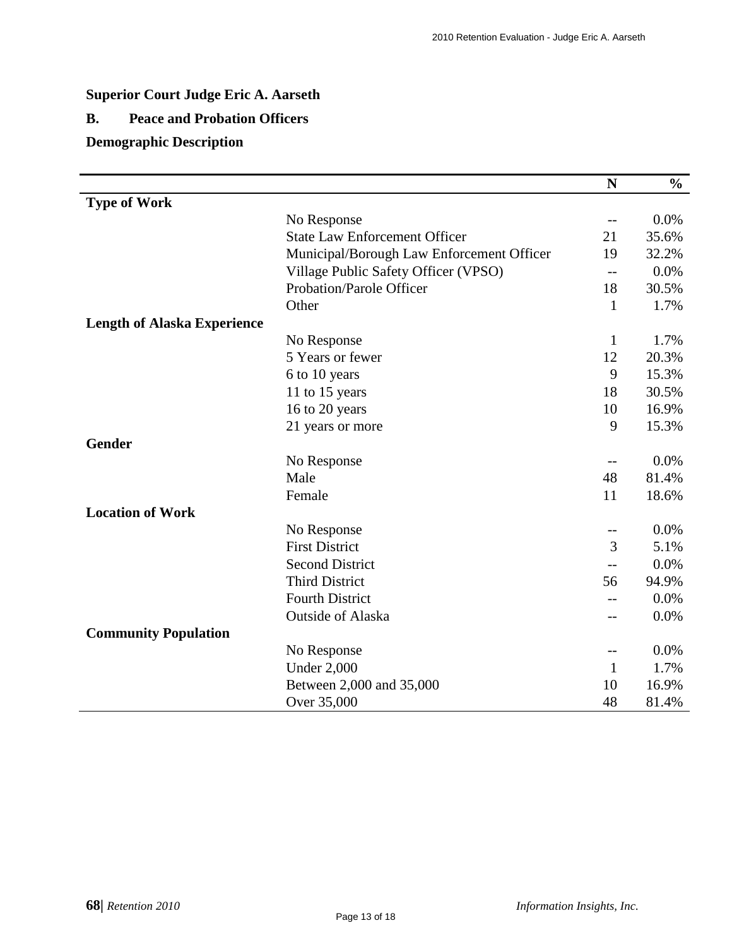## **Superior Court Judge Eric A. Aarseth**

## **B. Peace and Probation Officers**

## **Demographic Description**

|                                    |                                           | $\mathbf N$  | $\frac{6}{6}$ |
|------------------------------------|-------------------------------------------|--------------|---------------|
| <b>Type of Work</b>                |                                           |              |               |
|                                    | No Response                               | --           | 0.0%          |
|                                    | <b>State Law Enforcement Officer</b>      | 21           | 35.6%         |
|                                    | Municipal/Borough Law Enforcement Officer | 19           | 32.2%         |
|                                    | Village Public Safety Officer (VPSO)      | $-$          | 0.0%          |
|                                    | Probation/Parole Officer                  | 18           | 30.5%         |
|                                    | Other                                     | $\mathbf{1}$ | 1.7%          |
| <b>Length of Alaska Experience</b> |                                           |              |               |
|                                    | No Response                               | 1            | 1.7%          |
|                                    | 5 Years or fewer                          | 12           | 20.3%         |
|                                    | 6 to 10 years                             | 9            | 15.3%         |
|                                    | 11 to 15 years                            | 18           | 30.5%         |
|                                    | 16 to 20 years                            | 10           | 16.9%         |
|                                    | 21 years or more                          | 9            | 15.3%         |
| <b>Gender</b>                      |                                           |              |               |
|                                    | No Response                               | --           | 0.0%          |
|                                    | Male                                      | 48           | 81.4%         |
|                                    | Female                                    | 11           | 18.6%         |
| <b>Location of Work</b>            |                                           |              |               |
|                                    | No Response                               | --           | 0.0%          |
|                                    | <b>First District</b>                     | 3            | 5.1%          |
|                                    | <b>Second District</b>                    | --           | 0.0%          |
|                                    | <b>Third District</b>                     | 56           | 94.9%         |
|                                    | <b>Fourth District</b>                    | $-$          | 0.0%          |
|                                    | Outside of Alaska                         | --           | 0.0%          |
| <b>Community Population</b>        |                                           |              |               |
|                                    | No Response                               | --           | 0.0%          |
|                                    | <b>Under 2,000</b>                        | 1            | 1.7%          |
|                                    | Between 2,000 and 35,000                  | 10           | 16.9%         |
|                                    | Over 35,000                               | 48           | 81.4%         |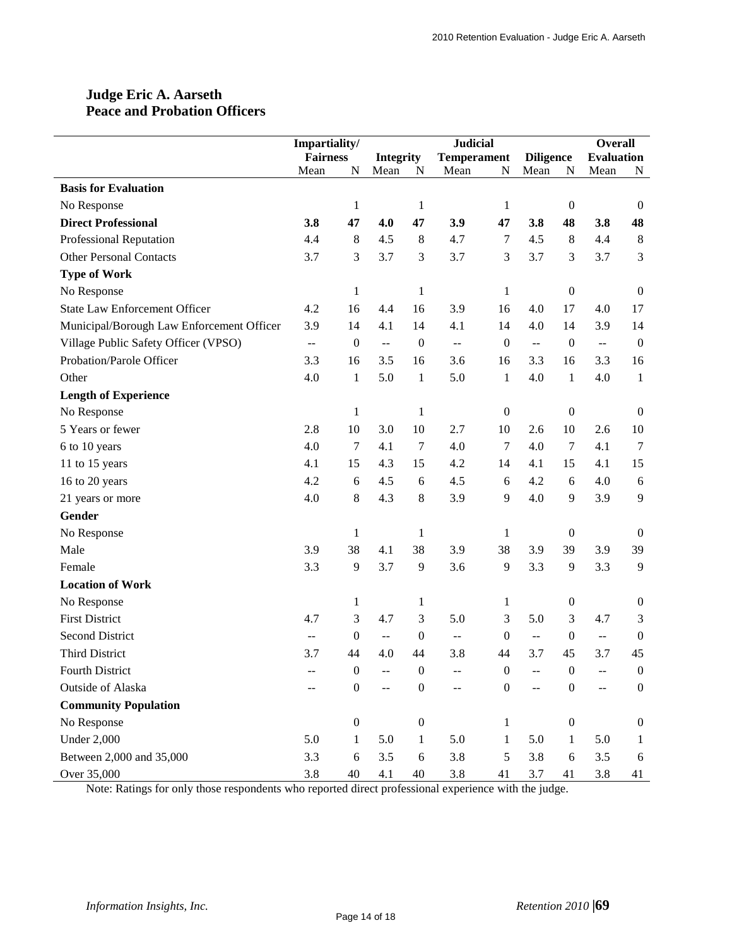## **Judge Eric A. Aarseth Peace and Probation Officers**

|                                           | Impartiality/   |                  |                           |                  | <b>Judicial</b>    |                  |                                               |                  | <b>Overall</b>                                |                  |
|-------------------------------------------|-----------------|------------------|---------------------------|------------------|--------------------|------------------|-----------------------------------------------|------------------|-----------------------------------------------|------------------|
|                                           | <b>Fairness</b> |                  | <b>Integrity</b>          |                  | <b>Temperament</b> |                  | <b>Diligence</b>                              |                  | <b>Evaluation</b>                             |                  |
|                                           | Mean            | N                | Mean                      | $\mathbf N$      | Mean               | ${\bf N}$        | Mean                                          | ${\bf N}$        | Mean                                          | N                |
| <b>Basis for Evaluation</b>               |                 |                  |                           |                  |                    |                  |                                               |                  |                                               |                  |
| No Response                               |                 | $\mathbf{1}$     |                           | $\mathbf{1}$     |                    | $\mathbf{1}$     |                                               | $\boldsymbol{0}$ |                                               | $\mathbf{0}$     |
| <b>Direct Professional</b>                | 3.8             | 47               | 4.0                       | 47               | 3.9                | 47               | 3.8                                           | 48               | 3.8                                           | 48               |
| Professional Reputation                   | 4.4             | 8                | 4.5                       | $\,8\,$          | 4.7                | 7                | 4.5                                           | 8                | 4.4                                           | $\,8\,$          |
| <b>Other Personal Contacts</b>            | 3.7             | 3                | 3.7                       | 3                | 3.7                | 3                | 3.7                                           | 3                | 3.7                                           | 3                |
| <b>Type of Work</b>                       |                 |                  |                           |                  |                    |                  |                                               |                  |                                               |                  |
| No Response                               |                 | $\mathbf{1}$     |                           | 1                |                    | $\mathbf{1}$     |                                               | $\boldsymbol{0}$ |                                               | $\boldsymbol{0}$ |
| <b>State Law Enforcement Officer</b>      | 4.2             | 16               | 4.4                       | 16               | 3.9                | 16               | 4.0                                           | 17               | 4.0                                           | 17               |
| Municipal/Borough Law Enforcement Officer | 3.9             | 14               | 4.1                       | 14               | 4.1                | 14               | 4.0                                           | 14               | 3.9                                           | 14               |
| Village Public Safety Officer (VPSO)      | $\overline{a}$  | $\boldsymbol{0}$ | $\mathbb{L}^2$            | $\boldsymbol{0}$ | $\mathbf{u}$       | $\boldsymbol{0}$ | $\mathbb{L}^{\mathbb{L}}$                     | $\boldsymbol{0}$ | $\omega\omega$                                | $\boldsymbol{0}$ |
| Probation/Parole Officer                  | 3.3             | 16               | 3.5                       | 16               | 3.6                | 16               | 3.3                                           | 16               | 3.3                                           | 16               |
| Other                                     | 4.0             | $\mathbf{1}$     | 5.0                       | $\mathbf{1}$     | 5.0                | $\mathbf{1}$     | 4.0                                           | $\mathbf{1}$     | 4.0                                           | $\mathbf{1}$     |
| <b>Length of Experience</b>               |                 |                  |                           |                  |                    |                  |                                               |                  |                                               |                  |
| No Response                               |                 | $\mathbf{1}$     |                           | $\mathbf{1}$     |                    | $\boldsymbol{0}$ |                                               | $\boldsymbol{0}$ |                                               | $\boldsymbol{0}$ |
| 5 Years or fewer                          | 2.8             | 10               | 3.0                       | 10               | 2.7                | 10               | 2.6                                           | 10               | 2.6                                           | 10               |
| 6 to 10 years                             | 4.0             | 7                | 4.1                       | $\tau$           | 4.0                | 7                | 4.0                                           | $\tau$           | 4.1                                           | $\tau$           |
| 11 to 15 years                            | 4.1             | 15               | 4.3                       | 15               | 4.2                | 14               | 4.1                                           | 15               | 4.1                                           | 15               |
| 16 to 20 years                            | 4.2             | $\sqrt{6}$       | 4.5                       | 6                | 4.5                | $\sqrt{6}$       | 4.2                                           | 6                | 4.0                                           | 6                |
| 21 years or more                          | 4.0             | 8                | 4.3                       | $\,8\,$          | 3.9                | 9                | 4.0                                           | 9                | 3.9                                           | 9                |
| Gender                                    |                 |                  |                           |                  |                    |                  |                                               |                  |                                               |                  |
| No Response                               |                 | $\mathbf{1}$     |                           | $\mathbf{1}$     |                    | $\mathbf{1}$     |                                               | $\boldsymbol{0}$ |                                               | $\boldsymbol{0}$ |
| Male                                      | 3.9             | 38               | 4.1                       | 38               | 3.9                | 38               | 3.9                                           | 39               | 3.9                                           | 39               |
| Female                                    | 3.3             | 9                | 3.7                       | 9                | 3.6                | 9                | 3.3                                           | 9                | 3.3                                           | 9                |
| <b>Location of Work</b>                   |                 |                  |                           |                  |                    |                  |                                               |                  |                                               |                  |
| No Response                               |                 | $\mathbf{1}$     |                           | $\mathbf{1}$     |                    | $\mathbf{1}$     |                                               | $\boldsymbol{0}$ |                                               | $\boldsymbol{0}$ |
| <b>First District</b>                     | 4.7             | 3                | 4.7                       | 3                | 5.0                | 3                | 5.0                                           | 3                | 4.7                                           | 3                |
| <b>Second District</b>                    | $-$             | $\boldsymbol{0}$ | $\mathcal{L} \mathcal{L}$ | $\boldsymbol{0}$ | $- -$              | $\boldsymbol{0}$ | $\mathord{\hspace{1pt}\text{--}\hspace{1pt}}$ | $\mathbf{0}$     | $\mathord{\hspace{1pt}\text{--}\hspace{1pt}}$ | $\boldsymbol{0}$ |
| <b>Third District</b>                     | 3.7             | 44               | 4.0                       | 44               | 3.8                | 44               | 3.7                                           | 45               | 3.7                                           | 45               |
| Fourth District                           |                 | $\boldsymbol{0}$ |                           | $\boldsymbol{0}$ |                    | 0                |                                               | $\boldsymbol{0}$ |                                               | $\boldsymbol{0}$ |
| Outside of Alaska                         | $-$             | $\boldsymbol{0}$ | $\overline{a}$            | $\boldsymbol{0}$ | $-$                | $\boldsymbol{0}$ | $\overline{a}$                                | $\mathbf{0}$     | $-$                                           | $\boldsymbol{0}$ |
| <b>Community Population</b>               |                 |                  |                           |                  |                    |                  |                                               |                  |                                               |                  |
| No Response                               |                 | $\boldsymbol{0}$ |                           | $\boldsymbol{0}$ |                    | 1                |                                               | $\boldsymbol{0}$ |                                               | $\boldsymbol{0}$ |
| <b>Under 2,000</b>                        | 5.0             | $\mathbf{1}$     | 5.0                       | $\mathbf{1}$     | 5.0                | $\mathbf{1}$     | 5.0                                           | $\mathbf{1}$     | 5.0                                           | 1                |
| Between 2,000 and 35,000                  | 3.3             | $\sqrt{6}$       | 3.5                       | $\sqrt{6}$       | 3.8                | 5                | 3.8                                           | 6                | 3.5                                           | 6                |
| Over 35,000                               | $3.8\,$         | 40               | 4.1                       | 40               | $3.8\,$            | 41               | 3.7                                           | 41               | 3.8                                           | 41               |

Note: Ratings for only those respondents who reported direct professional experience with the judge.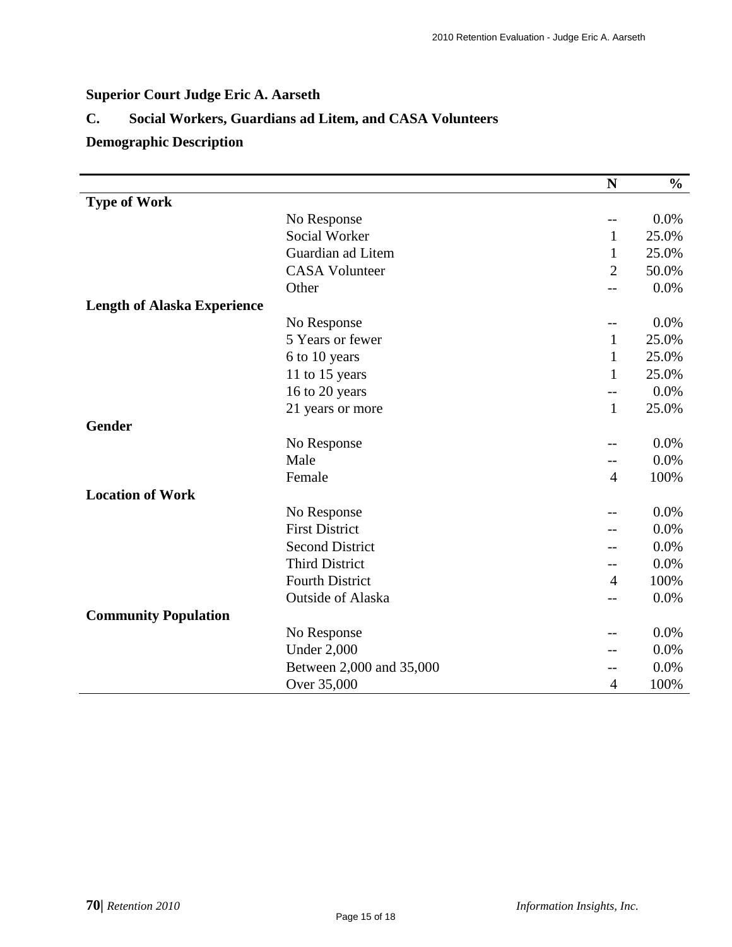## **Superior Court Judge Eric A. Aarseth**

## **C. Social Workers, Guardians ad Litem, and CASA Volunteers**

## **Demographic Description**

|                                    |                          | ${\bf N}$      | $\frac{0}{0}$ |
|------------------------------------|--------------------------|----------------|---------------|
| <b>Type of Work</b>                |                          |                |               |
|                                    | No Response              | $- -$          | 0.0%          |
|                                    | Social Worker            | 1              | 25.0%         |
|                                    | Guardian ad Litem        | $\mathbf{1}$   | 25.0%         |
|                                    | <b>CASA Volunteer</b>    | $\overline{2}$ | 50.0%         |
|                                    | Other                    | $-$            | 0.0%          |
| <b>Length of Alaska Experience</b> |                          |                |               |
|                                    | No Response              |                | 0.0%          |
|                                    | 5 Years or fewer         | $\mathbf{1}$   | 25.0%         |
|                                    | 6 to 10 years            | 1              | 25.0%         |
|                                    | 11 to 15 years           | 1              | 25.0%         |
|                                    | 16 to 20 years           |                | 0.0%          |
|                                    | 21 years or more         | $\mathbf{1}$   | 25.0%         |
| Gender                             |                          |                |               |
|                                    | No Response              | --             | 0.0%          |
|                                    | Male                     | $-$            | 0.0%          |
|                                    | Female                   | $\overline{4}$ | 100%          |
| <b>Location of Work</b>            |                          |                |               |
|                                    | No Response              | $-$            | 0.0%          |
|                                    | <b>First District</b>    |                | 0.0%          |
|                                    | <b>Second District</b>   |                | 0.0%          |
|                                    | <b>Third District</b>    | $-$            | 0.0%          |
|                                    | <b>Fourth District</b>   | $\overline{4}$ | 100%          |
|                                    | <b>Outside of Alaska</b> | --             | 0.0%          |
| <b>Community Population</b>        |                          |                |               |
|                                    | No Response              |                | 0.0%          |
|                                    | <b>Under 2,000</b>       |                | 0.0%          |
|                                    | Between 2,000 and 35,000 |                | 0.0%          |
|                                    | Over 35,000              | $\overline{4}$ | 100%          |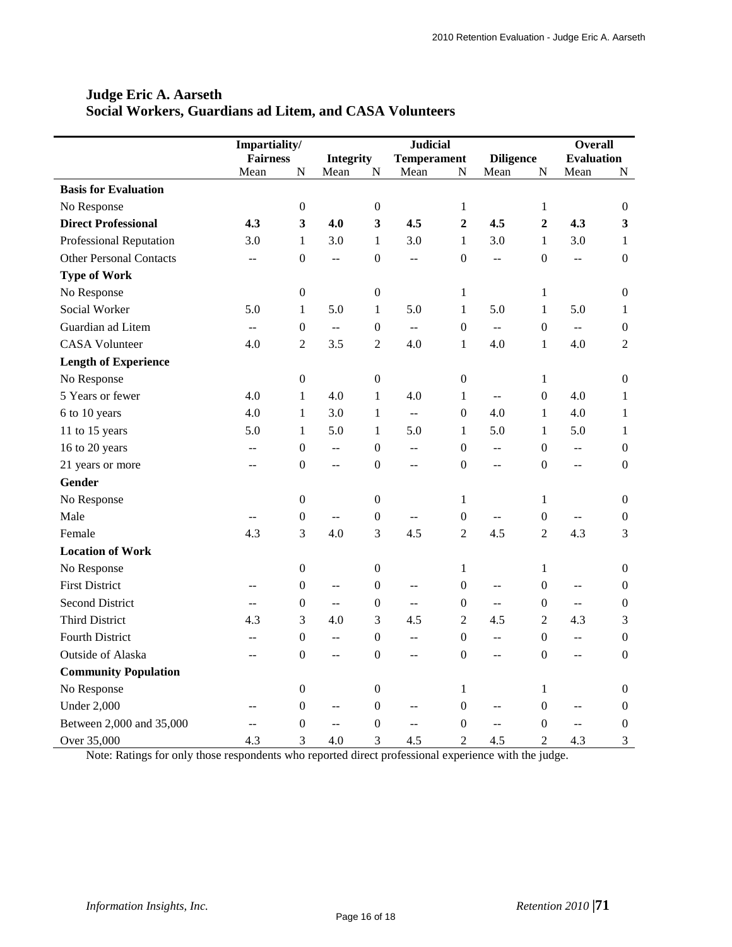|                                | Impartiality/   |                  |                          | <b>Judicial</b>  |                            |                  |                          | <b>Overall</b>   |                          |                  |
|--------------------------------|-----------------|------------------|--------------------------|------------------|----------------------------|------------------|--------------------------|------------------|--------------------------|------------------|
|                                | <b>Fairness</b> |                  | <b>Integrity</b>         |                  | <b>Temperament</b>         |                  | <b>Diligence</b>         |                  | <b>Evaluation</b>        |                  |
|                                | Mean            | N                | Mean                     | $\mathbf N$      | Mean                       | $\mathbf N$      | Mean                     | $\mathbf N$      | Mean                     | N                |
| <b>Basis for Evaluation</b>    |                 |                  |                          |                  |                            |                  |                          |                  |                          |                  |
| No Response                    |                 | $\boldsymbol{0}$ |                          | $\boldsymbol{0}$ |                            | $\mathbf{1}$     |                          | $\mathbf{1}$     |                          | $\boldsymbol{0}$ |
| <b>Direct Professional</b>     | 4.3             | 3                | 4.0                      | 3                | 4.5                        | $\overline{2}$   | 4.5                      | $\overline{2}$   | 4.3                      | $\mathbf{3}$     |
| <b>Professional Reputation</b> | 3.0             | $\mathbf{1}$     | 3.0                      | $\mathbf{1}$     | 3.0                        | 1                | 3.0                      | $\mathbf{1}$     | 3.0                      | $\mathbf{1}$     |
| <b>Other Personal Contacts</b> | Ξ.              | $\boldsymbol{0}$ | $\frac{1}{2}$            | $\overline{0}$   | Ц.                         | $\mathbf{0}$     | Ξ.                       | $\theta$         | 44                       | $\boldsymbol{0}$ |
| <b>Type of Work</b>            |                 |                  |                          |                  |                            |                  |                          |                  |                          |                  |
| No Response                    |                 | $\boldsymbol{0}$ |                          | $\theta$         |                            | $\mathbf{1}$     |                          | 1                |                          | $\boldsymbol{0}$ |
| Social Worker                  | 5.0             | $\mathbf{1}$     | 5.0                      | $\mathbf{1}$     | 5.0                        | $\mathbf{1}$     | 5.0                      | $\mathbf{1}$     | 5.0                      | $\mathbf{1}$     |
| Guardian ad Litem              | $-$             | $\mathbf{0}$     | $\overline{a}$           | $\overline{0}$   | $\mathbb{L}^{\frac{1}{2}}$ | $\overline{0}$   | ш.,                      | $\mathbf{0}$     | 44                       | $\boldsymbol{0}$ |
| <b>CASA Volunteer</b>          | 4.0             | $\overline{2}$   | 3.5                      | $\overline{2}$   | 4.0                        | $\mathbf{1}$     | 4.0                      | 1                | 4.0                      | $\overline{2}$   |
| <b>Length of Experience</b>    |                 |                  |                          |                  |                            |                  |                          |                  |                          |                  |
| No Response                    |                 | $\boldsymbol{0}$ |                          | $\boldsymbol{0}$ |                            | $\boldsymbol{0}$ |                          | 1                |                          | $\boldsymbol{0}$ |
| 5 Years or fewer               | 4.0             | $\mathbf{1}$     | 4.0                      | $\mathbf{1}$     | 4.0                        | 1                | $\overline{a}$           | $\boldsymbol{0}$ | 4.0                      | 1                |
| 6 to 10 years                  | 4.0             | $\mathbf{1}$     | 3.0                      | $\mathbf{1}$     | Ц.                         | $\boldsymbol{0}$ | 4.0                      | $\mathbf{1}$     | 4.0                      | $\mathbf{1}$     |
| 11 to 15 years                 | 5.0             | $\mathbf{1}$     | 5.0                      | $\mathbf{1}$     | 5.0                        | $\mathbf{1}$     | 5.0                      | $\mathbf{1}$     | 5.0                      | $\mathbf{1}$     |
| 16 to 20 years                 | $- -$           | $\boldsymbol{0}$ | $\overline{\phantom{a}}$ | $\boldsymbol{0}$ | $\overline{\phantom{a}}$   | $\boldsymbol{0}$ | --                       | $\boldsymbol{0}$ | $\overline{\phantom{a}}$ | $\boldsymbol{0}$ |
| 21 years or more               | $-$             | $\boldsymbol{0}$ | $\overline{\phantom{m}}$ | $\boldsymbol{0}$ | $-$                        | $\boldsymbol{0}$ | $-$                      | $\boldsymbol{0}$ | $-$                      | $\boldsymbol{0}$ |
| Gender                         |                 |                  |                          |                  |                            |                  |                          |                  |                          |                  |
| No Response                    |                 | $\boldsymbol{0}$ |                          | $\boldsymbol{0}$ |                            | $\mathbf{1}$     |                          | $\mathbf{1}$     |                          | $\boldsymbol{0}$ |
| Male                           |                 | $\boldsymbol{0}$ | $\overline{a}$           | $\boldsymbol{0}$ | $\overline{a}$             | $\boldsymbol{0}$ | --                       | $\boldsymbol{0}$ | $\overline{\phantom{a}}$ | $\boldsymbol{0}$ |
| Female                         | 4.3             | 3                | 4.0                      | 3                | 4.5                        | $\overline{c}$   | 4.5                      | $\overline{2}$   | 4.3                      | 3                |
| <b>Location of Work</b>        |                 |                  |                          |                  |                            |                  |                          |                  |                          |                  |
| No Response                    |                 | $\boldsymbol{0}$ |                          | $\boldsymbol{0}$ |                            | $\mathbf{1}$     |                          | $\mathbf{1}$     |                          | $\mathbf{0}$     |
| <b>First District</b>          | $\overline{a}$  | $\overline{0}$   | $\mathbf{u}$             | $\boldsymbol{0}$ | $\overline{\phantom{a}}$   | $\overline{0}$   | --                       | $\mathbf{0}$     | $\overline{a}$           | $\overline{0}$   |
| <b>Second District</b>         | $\overline{a}$  | $\overline{0}$   | $\overline{a}$           | $\overline{0}$   | $-$                        | $\overline{0}$   | $\overline{\phantom{a}}$ | $\overline{0}$   | $\pm$ $\pm$              | $\overline{0}$   |
| <b>Third District</b>          | 4.3             | 3                | 4.0                      | 3                | 4.5                        | $\overline{2}$   | 4.5                      | $\overline{2}$   | 4.3                      | 3                |
| <b>Fourth District</b>         | $\overline{a}$  | $\boldsymbol{0}$ | $\overline{a}$           | $\overline{0}$   | $\overline{a}$             | $\overline{0}$   | Ξ.                       | $\overline{0}$   | 44                       | $\boldsymbol{0}$ |
| Outside of Alaska              | $\overline{a}$  | $\boldsymbol{0}$ | $\mathbf{u}$             | $\overline{0}$   | $\overline{\phantom{a}}$   | $\overline{0}$   | --                       | $\overline{0}$   | $\overline{a}$           | $\boldsymbol{0}$ |
| <b>Community Population</b>    |                 |                  |                          |                  |                            |                  |                          |                  |                          |                  |
| No Response                    |                 | $\boldsymbol{0}$ |                          | $\boldsymbol{0}$ |                            | 1                |                          | 1                |                          | 0                |
| <b>Under 2,000</b>             | $-$             | $\boldsymbol{0}$ | $\overline{a}$           | $\boldsymbol{0}$ | $\overline{a}$             | $\boldsymbol{0}$ | --                       | $\boldsymbol{0}$ | $\overline{a}$           | $\boldsymbol{0}$ |
| Between 2,000 and 35,000       | $-$             | $\boldsymbol{0}$ | $\overline{a}$           | $\boldsymbol{0}$ | $-$                        | $\boldsymbol{0}$ | --                       | $\boldsymbol{0}$ | $\overline{a}$           | $\boldsymbol{0}$ |
| Over 35,000                    | 4.3             | 3                | 4.0                      | 3                | 4.5                        | $\overline{2}$   | 4.5                      | $\overline{2}$   | 4.3                      | 3                |

#### **Judge Eric A. Aarseth Social Workers, Guardians ad Litem, and CASA Volunteers**

Note: Ratings for only those respondents who reported direct professional experience with the judge.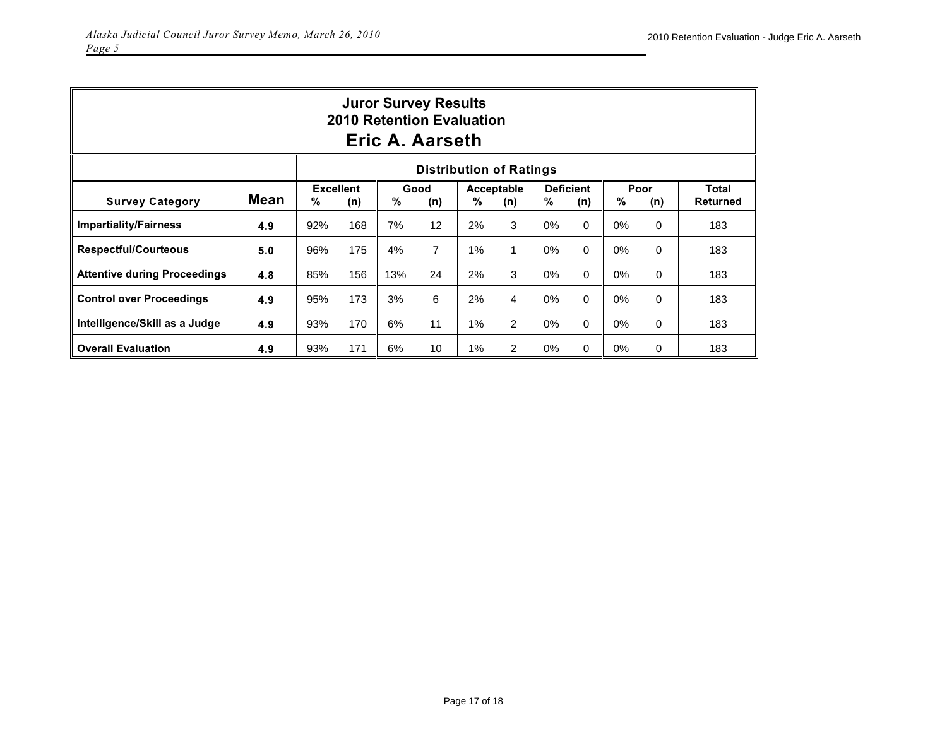| <b>Juror Survey Results</b><br><b>2010 Retention Evaluation</b><br>Eric A. Aarseth |             |                       |     |                  |                |                        |                |                              |          |                  |   |                          |
|------------------------------------------------------------------------------------|-------------|-----------------------|-----|------------------|----------------|------------------------|----------------|------------------------------|----------|------------------|---|--------------------------|
| <b>Distribution of Ratings</b>                                                     |             |                       |     |                  |                |                        |                |                              |          |                  |   |                          |
| <b>Survey Category</b>                                                             | <b>Mean</b> | <b>Excellent</b><br>% | (n) | Good<br>%<br>(n) |                | Acceptable<br>%<br>(n) |                | <b>Deficient</b><br>%<br>(n) |          | Poor<br>%<br>(n) |   | Total<br><b>Returned</b> |
| <b>Impartiality/Fairness</b>                                                       | 4.9         | 92%                   | 168 | 7%               | 12             | 2%                     | 3              | $0\%$                        | 0        | 0%               | 0 | 183                      |
| <b>Respectful/Courteous</b>                                                        | 5.0         | 96%                   | 175 | 4%               | $\overline{7}$ | $1\%$                  | $\mathbf{1}$   | $0\%$                        | $\Omega$ | 0%               | 0 | 183                      |
| <b>Attentive during Proceedings</b>                                                | 4.8         | 85%                   | 156 | 13%              | 24             | 2%                     | 3              | $0\%$                        | 0        | 0%               | 0 | 183                      |
| <b>Control over Proceedings</b>                                                    | 4.9         | 95%                   | 173 | 3%               | 6              | 2%                     | 4              | 0%                           | $\Omega$ | 0%               | 0 | 183                      |
| Intelligence/Skill as a Judge                                                      | 4.9         | 93%                   | 170 | 6%               | 11             | 1%                     | $\overline{2}$ | $0\%$                        | 0        | 0%               | 0 | 183                      |
| <b>Overall Evaluation</b>                                                          | 4.9         | 93%                   | 171 | 6%               | 10             | 1%                     | 2              | $0\%$                        | 0        | 0%               | 0 | 183                      |